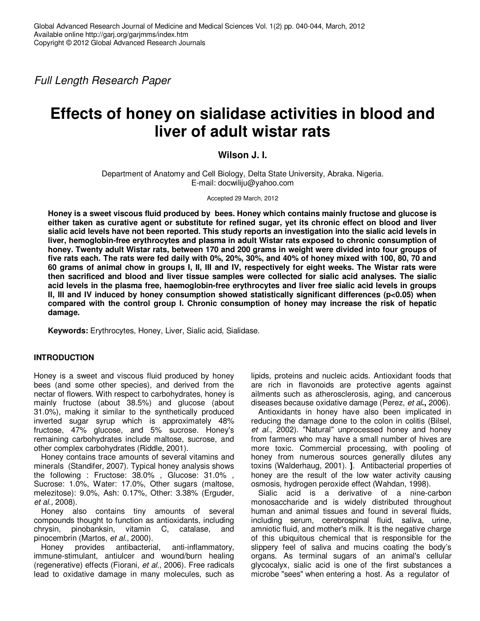Full Length Research Paper

# **Effects of honey on sialidase activities in blood and liver of adult wistar rats**

# **Wilson J. I.**

Department of Anatomy and Cell Biology, Delta State University, Abraka. Nigeria. E-mail: docwiliju@yahoo.com

Accepted 29 March, 2012

**Honey is a sweet viscous fluid produced by bees. Honey which contains mainly fructose and glucose is either taken as curative agent or substitute for refined sugar, yet its chronic effect on blood and liver sialic acid levels have not been reported. This study reports an investigation into the sialic acid levels in liver, hemoglobin-free erythrocytes and plasma in adult Wistar rats exposed to chronic consumption of honey. Twenty adult Wistar rats, between 170 and 200 grams in weight were divided into four groups of five rats each. The rats were fed daily with 0%, 20%, 30%, and 40% of honey mixed with 100, 80, 70 and 60 grams of animal chow in groups I, II, III and IV, respectively for eight weeks. The Wistar rats were then sacrificed and blood and liver tissue samples were collected for sialic acid analyses. The sialic acid levels in the plasma free, haemoglobin-free erythrocytes and liver free sialic acid levels in groups II, III and IV induced by honey consumption showed statistically significant differences (p<0.05) when compared with the control group I. Chronic consumption of honey may increase the risk of hepatic damage.** 

**Keywords:** Erythrocytes, Honey, Liver, Sialic acid, Sialidase.

# **INTRODUCTION**

Honey is a sweet and viscous fluid produced by honey bees (and some other species), and derived from the nectar of flowers. With respect to carbohydrates, honey is mainly fructose (about 38.5%) and glucose (about 31.0%), making it similar to the synthetically produced inverted sugar syrup which is approximately 48% fructose, 47% glucose, and 5% sucrose. Honey's remaining carbohydrates include maltose, sucrose, and other complex carbohydrates (Riddle, 2001).

Honey contains trace amounts of several vitamins and minerals (Standifer, 2007). Typical honey analysis shows the following : Fructose: 38.0% , Glucose: 31.0% , Sucrose: 1.0%, Water: 17.0%, Other sugars (maltose, melezitose): 9.0%, Ash: 0.17%, Other: 3.38% (Erguder, et al., 2008).

Honey also contains tiny amounts of several compounds thought to function as antioxidants, including chrysin, pinobanksin, vitamin C, catalase, and pinocembrin (Martos, et al., 2000).

Honey provides antibacterial, anti-inflammatory, immune-stimulant, antiulcer and wound/burn healing (regenerative) effects (Fiorani, et al., 2006). Free radicals lead to oxidative damage in many molecules, such as lipids, proteins and nucleic acids. Antioxidant foods that are rich in flavonoids are protective agents against ailments such as atherosclerosis, aging, and cancerous diseases because oxidative damage (Perez, et al**.,** 2006).

Antioxidants in honey have also been implicated in reducing the damage done to the colon in colitis (Bilsel, et al., 2002). "Natural" unprocessed honey and honey from farmers who may have a small number of hives are more toxic. Commercial processing, with pooling of honey from numerous sources generally dilutes any toxins (Walderhaug, 2001). **]**. Antibacterial properties of honey are the result of the low water activity causing osmosis, hydrogen peroxide effect (Wahdan, 1998).

Sialic acid is a derivative of a nine-carbon monosaccharide and is widely distributed throughout human and animal tissues and found in several fluids, including serum, cerebrospinal fluid, saliva, urine, amniotic fluid, and mother's milk. It is the negative charge of this ubiquitous chemical that is responsible for the slippery feel of saliva and mucins coating the body's organs. As terminal sugars of an animal's cellular glycocalyx, sialic acid is one of the first substances a microbe "sees" when entering a host. As a regulator of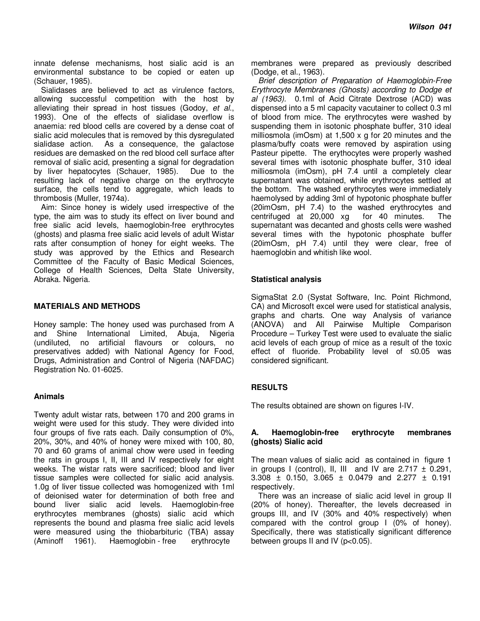innate defense mechanisms, host sialic acid is an environmental substance to be copied or eaten up (Schauer, 1985).

Sialidases are believed to act as virulence factors, allowing successful competition with the host by alleviating their spread in host tissues (Godoy, et al., 1993). One of the effects of sialidase overflow is anaemia: red blood cells are covered by a dense coat of sialic acid molecules that is removed by this dysregulated sialidase action. As a consequence, the galactose residues are demasked on the red blood cell surface after removal of sialic acid, presenting a signal for degradation by liver hepatocytes (Schauer, 1985). Due to the resulting lack of negative charge on the erythrocyte surface, the cells tend to aggregate, which leads to thrombosis (Muller, 1974a).

Aim: Since honey is widely used irrespective of the type, the aim was to study its effect on liver bound and free sialic acid levels, haemoglobin-free erythrocytes (ghosts) and plasma free sialic acid levels of adult Wistar rats after consumption of honey for eight weeks. The study was approved by the Ethics and Research Committee of the Faculty of Basic Medical Sciences, College of Health Sciences, Delta State University, Abraka. Nigeria.

## **MATERIALS AND METHODS**

Honey sample: The honey used was purchased from A and Shine International Limited, Abuja, Nigeria (undiluted, no artificial flavours or colours, no preservatives added) with National Agency for Food, Drugs, Administration and Control of Nigeria (NAFDAC) Registration No. 01-6025.

#### **Animals**

Twenty adult wistar rats, between 170 and 200 grams in weight were used for this study. They were divided into four groups of five rats each. Daily consumption of 0%, 20%, 30%, and 40% of honey were mixed with 100, 80, 70 and 60 grams of animal chow were used in feeding the rats in groups I, II, III and IV respectively for eight weeks. The wistar rats were sacrificed; blood and liver tissue samples were collected for sialic acid analysis. 1.0g of liver tissue collected was homogenized with 1ml of deionised water for determination of both free and bound liver sialic acid levels. Haemoglobin-free erythrocytes membranes (ghosts) sialic acid which represents the bound and plasma free sialic acid levels were measured using the thiobarbituric (TBA) assay (Aminoff 1961). Haemoglobin - free erythrocyte

membranes were prepared as previously described (Dodge, et al., 1963).

Brief description of Preparation of Haemoglobin-Free Erythrocyte Membranes (Ghosts) according to Dodge et al (1963). 0.1ml of Acid Citrate Dextrose (ACD) was dispensed into a 5 ml capacity vacutainer to collect 0.3 ml of blood from mice. The erythrocytes were washed by suspending them in isotonic phosphate buffer, 310 ideal milliosmola (imOsm) at 1,500 x g for 20 minutes and the plasma/buffy coats were removed by aspiration using Pasteur pipette. The erythocytes were properly washed several times with isotonic phosphate buffer, 310 ideal milliosmola (imOsm), pH 7.4 until a completely clear supernatant was obtained, while erythrocytes settled at the bottom. The washed erythrocytes were immediately haemolysed by adding 3ml of hypotonic phosphate buffer  $(20imOsm, pH 7.4)$  to the washed erythrocytes and centrifuged at  $20,000$  xg for 40 minutes. The centrifuged at 20,000 xg for 40 minutes. The supernatant was decanted and ghosts cells were washed several times with the hypotonic phosphate buffer (20imOsm, pH 7.4) until they were clear, free of haemoglobin and whitish like wool.

## **Statistical analysis**

SigmaStat 2.0 (Systat Software, Inc. Point Richmond, CA) and Microsoft excel were used for statistical analysis, graphs and charts. One way Analysis of variance (ANOVA) and All Pairwise Multiple Comparison Procedure – Turkey Test were used to evaluate the sialic acid levels of each group of mice as a result of the toxic effect of fluoride. Probability level of ≤0.05 was considered significant.

# **RESULTS**

The results obtained are shown on figures I-IV.

# **A. Haemoglobin-free erythrocyte membranes (ghosts) Sialic acid**

The mean values of sialic acid as contained in figure 1 in groups I (control), II, III and IV are  $2.717 \pm 0.291$ , 3.308  $\pm$  0.150, 3.065  $\pm$  0.0479 and 2.277  $\pm$  0.191 respectively.

There was an increase of sialic acid level in group II (20% of honey). Thereafter, the levels decreased in groups III, and IV (30% and 40% respectively) when compared with the control group I (0% of honey). Specifically, there was statistically significant difference between groups II and IV (p<0.05).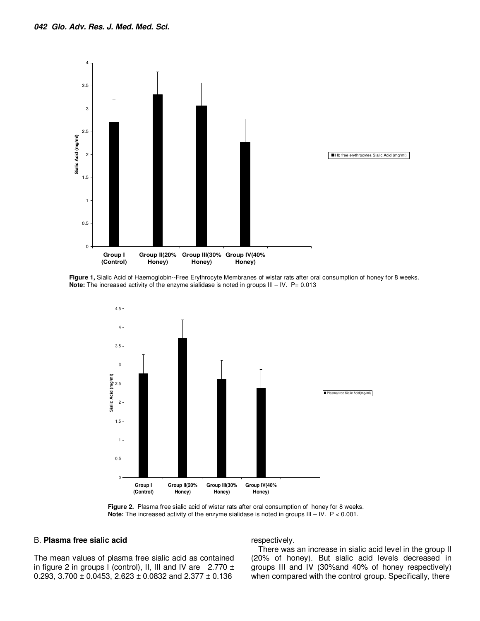

**Figure 1,** Sialic Acid of Haemoglobin--Free Erythrocyte Membranes of wistar rats after oral consumption of honey for 8 weeks. **Note:** The increased activity of the enzyme sialidase is noted in groups III – IV. P= 0.013



**Figure 2.** Plasma free sialic acid of wistar rats after oral consumption of honey for 8 weeks. **Note:** The increased activity of the enzyme sialidase is noted in groups III – IV. P < 0.001.

#### B. **Plasma free sialic acid**

The mean values of plasma free sialic acid as contained in figure 2 in groups I (control), II, III and IV are  $2.770 \pm$ 0.293, 3.700  $\pm$  0.0453, 2.623  $\pm$  0.0832 and 2.377  $\pm$  0.136

respectively.

There was an increase in sialic acid level in the group II (20% of honey). But sialic acid levels decreased in groups III and IV (30%and 40% of honey respectively) when compared with the control group. Specifically, there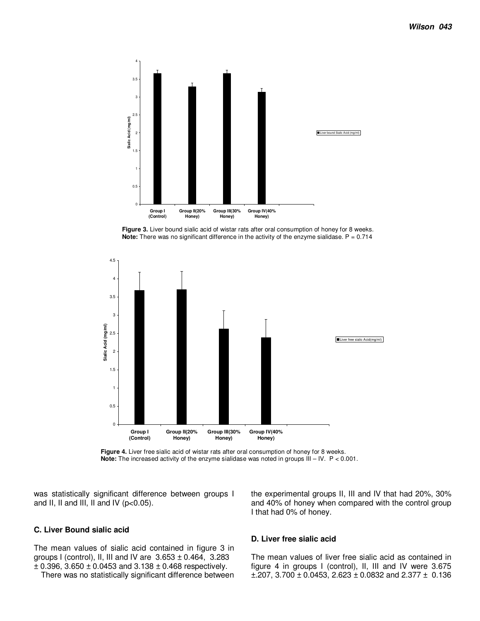

**Figure 3.** Liver bound sialic acid of wistar rats after oral consumption of honey for 8 weeks. **Note:** There was no significant difference in the activity of the enzyme sialidase. P = 0.714



Figure 4. Liver free sialic acid of wistar rats after oral consumption of honey for 8 weeks. **Note:** The increased activity of the enzyme sialidase was noted in groups III – IV. P < 0.001.

was statistically significant difference between groups I and II, II and III, II and IV ( $p<0.05$ ).

# **C. Liver Bound sialic acid**

The mean values of sialic acid contained in figure 3 in groups I (control), II, III and IV are 3.653 ± 0.464, 3.283  $\pm$  0.396, 3.650  $\pm$  0.0453 and 3.138  $\pm$  0.468 respectively.

There was no statistically significant difference between

the experimental groups II, III and IV that had 20%, 30% and 40% of honey when compared with the control group I that had 0% of honey.

# **D. Liver free sialic acid**

The mean values of liver free sialic acid as contained in figure 4 in groups I (control), II, III and IV were 3.675  $\pm$ .207, 3.700  $\pm$  0.0453, 2.623  $\pm$  0.0832 and 2.377  $\pm$  0.136